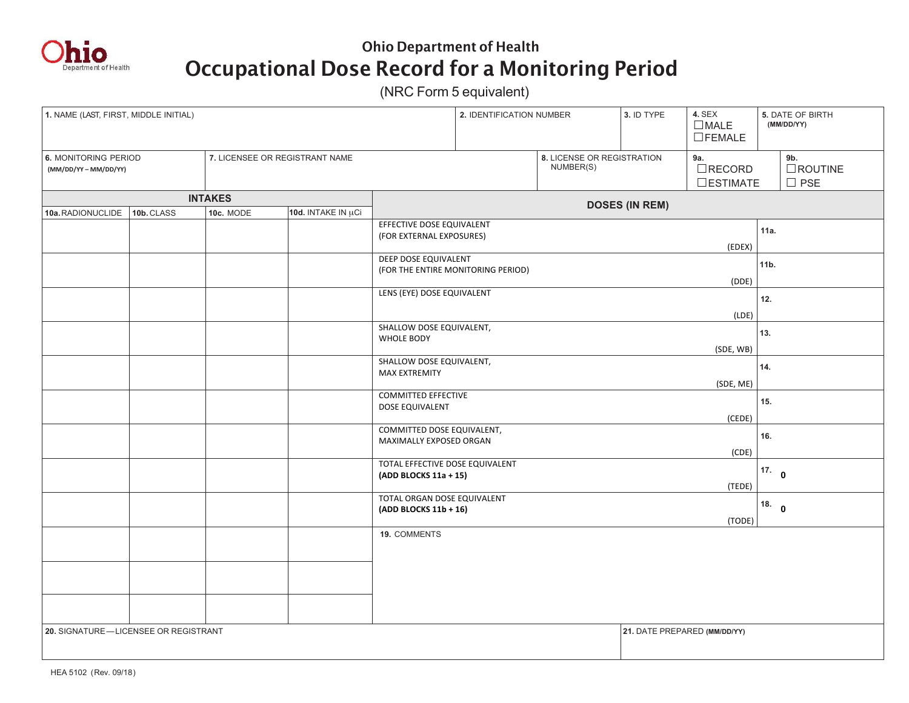

## Ohio Department of Health Occupational Dose Record for a Monitoring Period

(NRC Form 5 equivalent)

| 1. NAME (LAST, FIRST, MIDDLE INITIAL)                                               |  |                                |  |                                                            | 2. IDENTIFICATION NUMBER |  | 3. ID TYPE                                 | 4. SEX<br>$\Box$ MALE<br>$\Box$ FEMALE | 5. DATE OF BIRTH<br>(MM/DD/YY) |
|-------------------------------------------------------------------------------------|--|--------------------------------|--|------------------------------------------------------------|--------------------------|--|--------------------------------------------|----------------------------------------|--------------------------------|
| 6. MONITORING PERIOD<br>(MM/DD/YY-MM/DD/YY)                                         |  | 7. LICENSEE OR REGISTRANT NAME |  | 8. LICENSE OR REGISTRATION<br>NUMBER(S)                    |                          |  | 9a.<br>$\Box$ RECORD<br>$\square$ ESTIMATE | 9b.<br>$\Box$ ROUTINE<br>$\square$ PSE |                                |
| <b>INTAKES</b><br>10d. INTAKE IN µCi<br>10a.RADIONUCLIDE<br>10b. CLASS<br>10c. MODE |  |                                |  | <b>DOSES (IN REM)</b>                                      |                          |  |                                            |                                        |                                |
|                                                                                     |  |                                |  | EFFECTIVE DOSE EQUIVALENT<br>(FOR EXTERNAL EXPOSURES)      |                          |  |                                            | (EDEX)                                 | 11a.                           |
|                                                                                     |  |                                |  | DEEP DOSE EQUIVALENT<br>(FOR THE ENTIRE MONITORING PERIOD) |                          |  |                                            | (DDE)                                  | 11b.                           |
|                                                                                     |  |                                |  | LENS (EYE) DOSE EQUIVALENT                                 |                          |  |                                            |                                        | 12.                            |
|                                                                                     |  |                                |  | SHALLOW DOSE EQUIVALENT,<br><b>WHOLE BODY</b>              |                          |  |                                            | (LDE)<br>(SDE, WB)                     | 13.                            |
|                                                                                     |  |                                |  | SHALLOW DOSE EQUIVALENT,<br><b>MAX EXTREMITY</b>           |                          |  |                                            | (SDE, ME)                              | 14.                            |
|                                                                                     |  |                                |  | <b>COMMITTED EFFECTIVE</b><br>DOSE EQUIVALENT              |                          |  |                                            | (CEDE)                                 | 15.                            |
|                                                                                     |  |                                |  | COMMITTED DOSE EQUIVALENT,<br>MAXIMALLY EXPOSED ORGAN      |                          |  |                                            | (CDE)                                  | 16.                            |
|                                                                                     |  |                                |  | TOTAL EFFECTIVE DOSE EQUIVALENT<br>(ADD BLOCKS 11a + 15)   |                          |  |                                            | (TEDE)                                 | 17.0                           |
|                                                                                     |  |                                |  | TOTAL ORGAN DOSE EQUIVALENT<br>(ADD BLOCKS 11b + 16)       |                          |  |                                            | (TODE)                                 | 18. 0                          |
|                                                                                     |  |                                |  | 19. COMMENTS                                               |                          |  |                                            |                                        |                                |
|                                                                                     |  |                                |  |                                                            |                          |  |                                            |                                        |                                |
| 20. SIGNATURE-LICENSEE OR REGISTRANT                                                |  |                                |  |                                                            |                          |  | 21. DATE PREPARED (MM/DD/YY)               |                                        |                                |